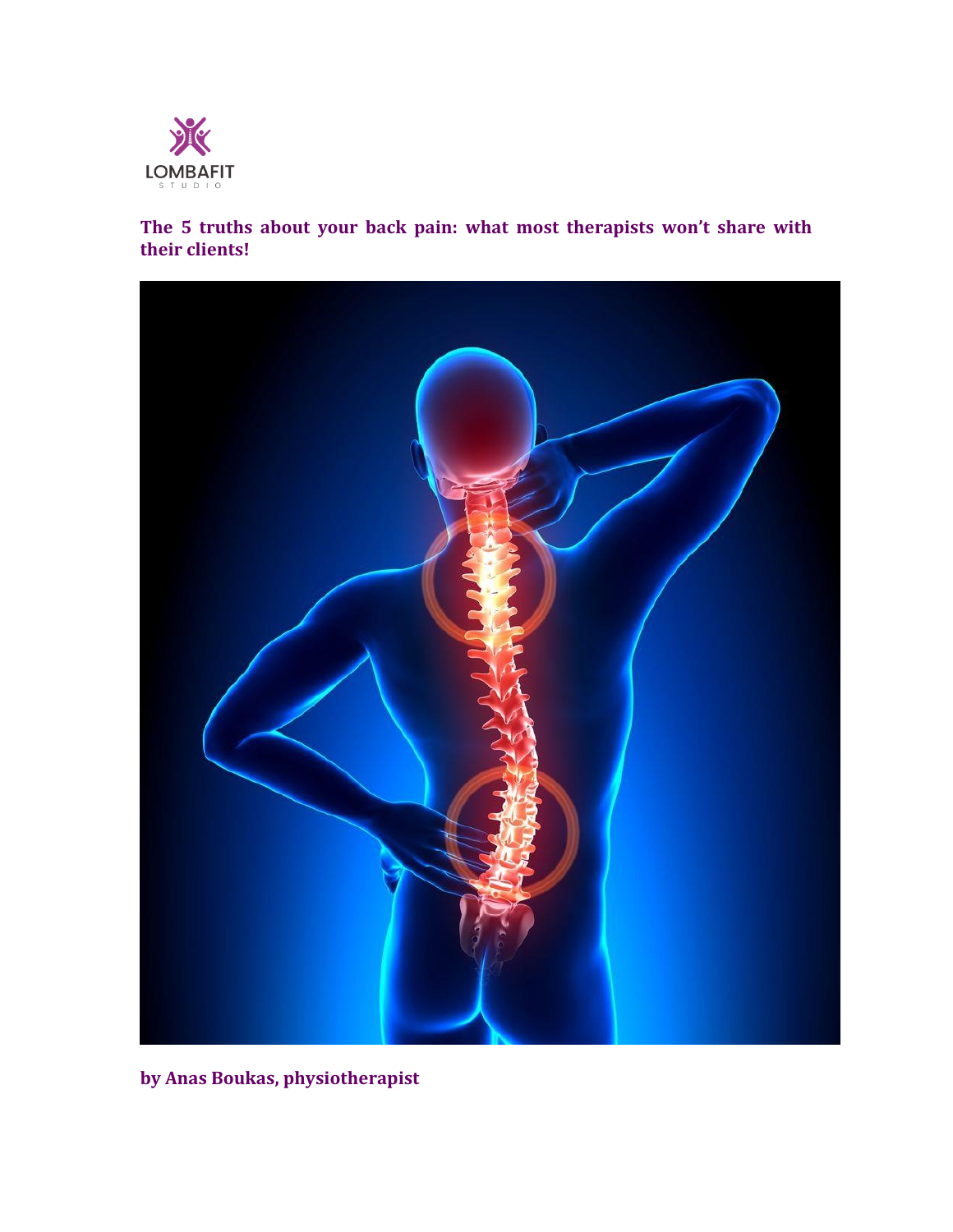

**The 5 truths about your back pain: what most therapists won't share with their clients!**



**by Anas Boukas, physiotherapist**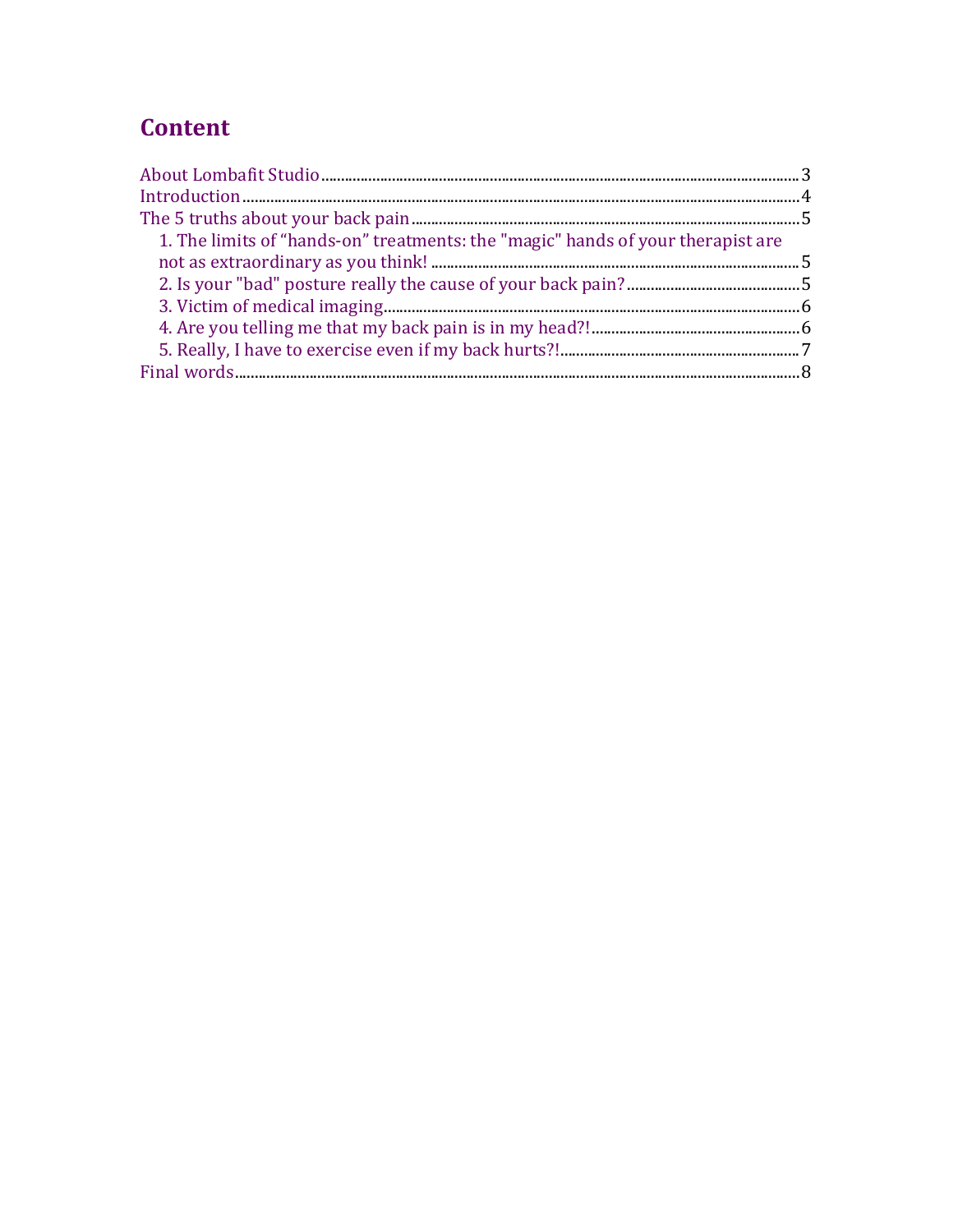# **Content**

| 1. The limits of "hands-on" treatments: the "magic" hands of your therapist are |  |
|---------------------------------------------------------------------------------|--|
|                                                                                 |  |
|                                                                                 |  |
|                                                                                 |  |
|                                                                                 |  |
|                                                                                 |  |
|                                                                                 |  |
|                                                                                 |  |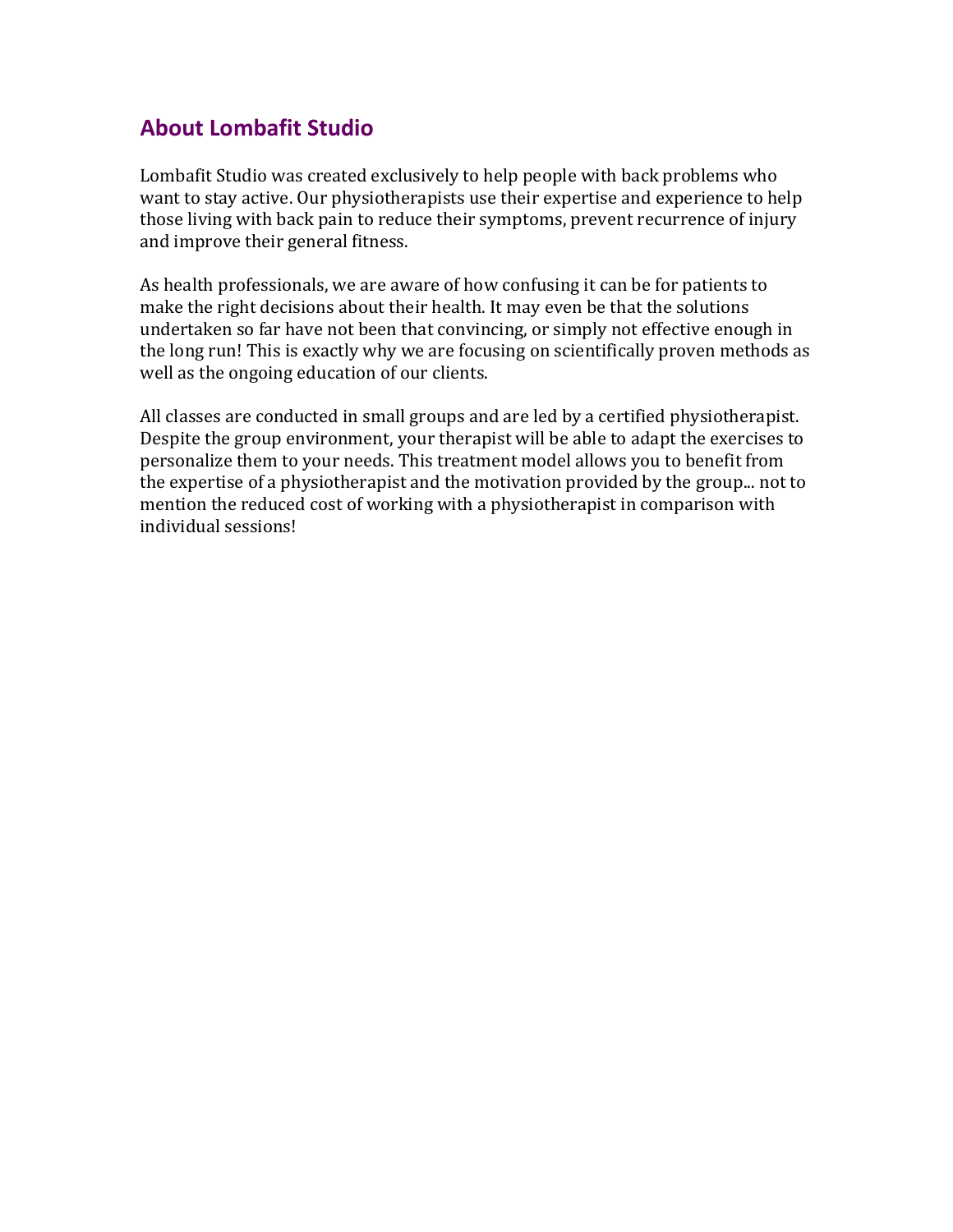## **About Lombafit Studio**

Lombafit Studio was created exclusively to help people with back problems who want to stay active. Our physiotherapists use their expertise and experience to help those living with back pain to reduce their symptoms, prevent recurrence of injury and improve their general fitness.

As health professionals, we are aware of how confusing it can be for patients to make the right decisions about their health. It may even be that the solutions undertaken so far have not been that convincing, or simply not effective enough in the long run! This is exactly why we are focusing on scientifically proven methods as well as the ongoing education of our clients.

All classes are conducted in small groups and are led by a certified physiotherapist. Despite the group environment, your therapist will be able to adapt the exercises to personalize them to your needs. This treatment model allows you to benefit from the expertise of a physiotherapist and the motivation provided by the group... not to mention the reduced cost of working with a physiotherapist in comparison with individual sessions!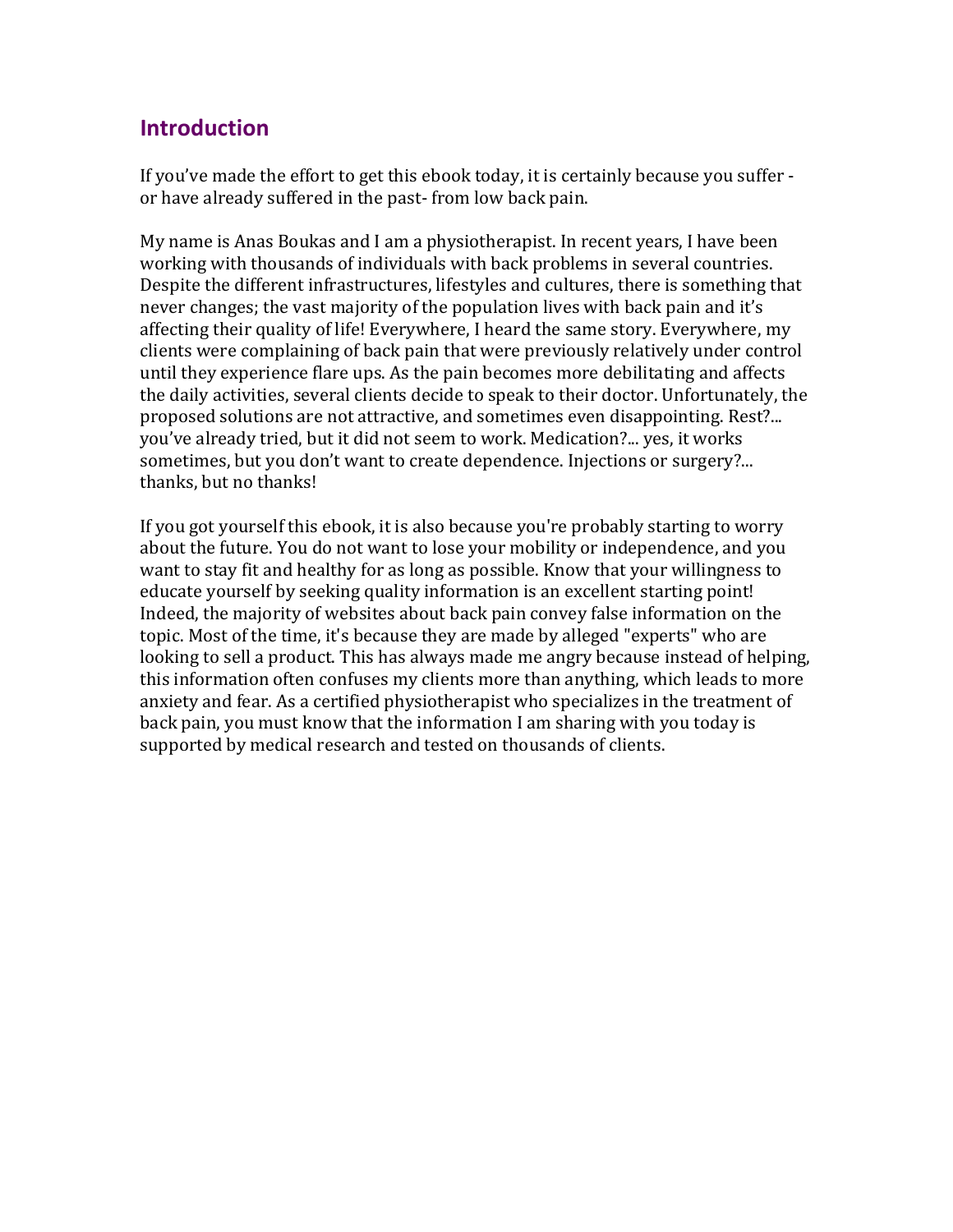### **Introduction**

If you've made the effort to get this ebook today, it is certainly because you suffer or have already suffered in the past- from low back pain.

My name is Anas Boukas and I am a physiotherapist. In recent years, I have been working with thousands of individuals with back problems in several countries. Despite the different infrastructures, lifestyles and cultures, there is something that never changes; the vast majority of the population lives with back pain and it's affecting their quality of life! Everywhere, I heard the same story. Everywhere, my clients were complaining of back pain that were previously relatively under control until they experience flare ups. As the pain becomes more debilitating and affects the daily activities, several clients decide to speak to their doctor. Unfortunately, the proposed solutions are not attractive, and sometimes even disappointing. Rest?... you've already tried, but it did not seem to work. Medication?... yes, it works sometimes, but you don't want to create dependence. Injections or surgery?... thanks, but no thanks!

If you got yourself this ebook, it is also because you're probably starting to worry about the future. You do not want to lose your mobility or independence, and you want to stay fit and healthy for as long as possible. Know that your willingness to educate yourself by seeking quality information is an excellent starting point! Indeed, the majority of websites about back pain convey false information on the topic. Most of the time, it's because they are made by alleged "experts" who are looking to sell a product. This has always made me angry because instead of helping, this information often confuses my clients more than anything, which leads to more anxiety and fear. As a certified physiotherapist who specializes in the treatment of back pain, you must know that the information I am sharing with you today is supported by medical research and tested on thousands of clients.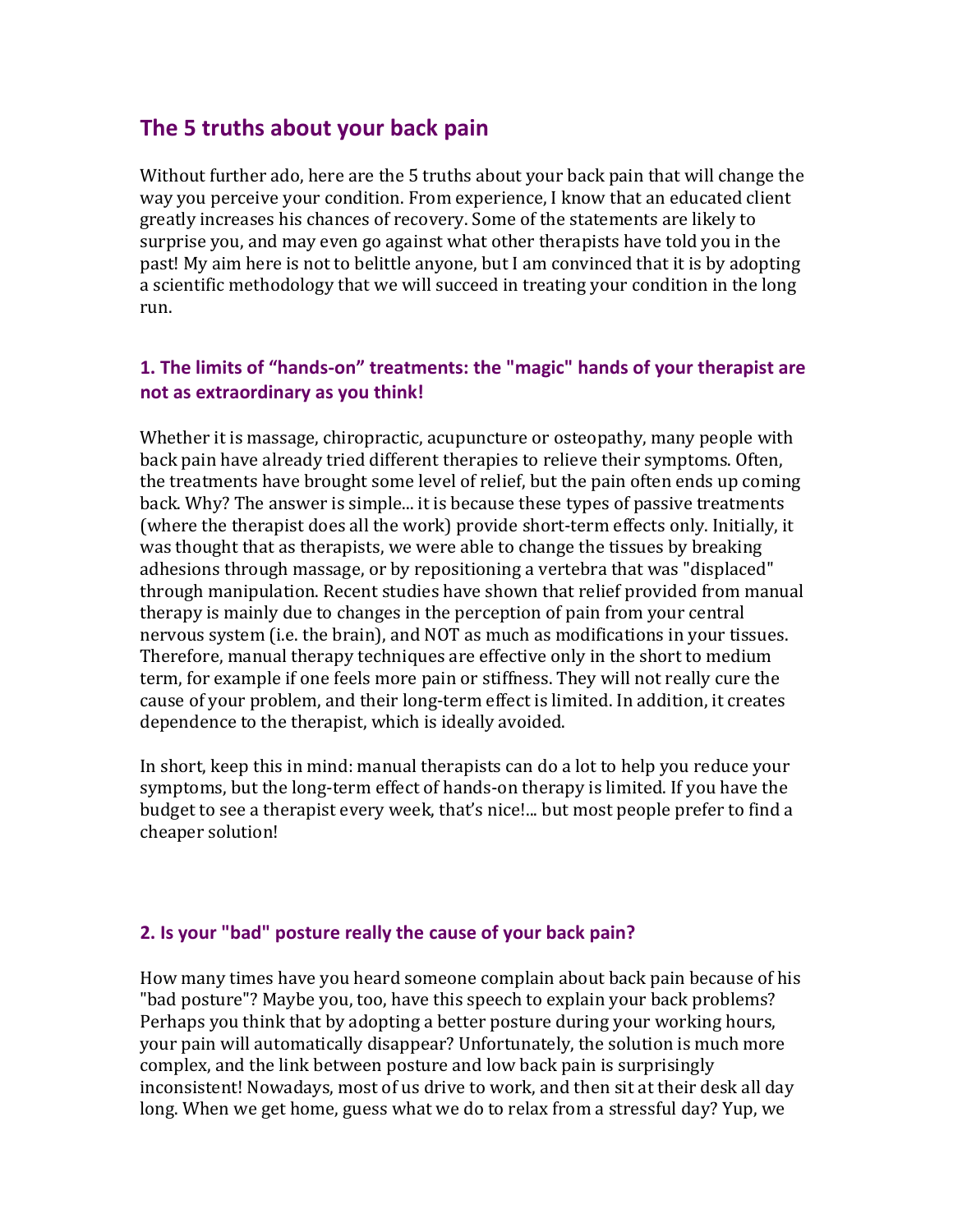### **The 5 truths about your back pain**

Without further ado, here are the 5 truths about your back pain that will change the way you perceive your condition. From experience, I know that an educated client greatly increases his chances of recovery. Some of the statements are likely to surprise you, and may even go against what other therapists have told you in the past! My aim here is not to belittle anyone, but I am convinced that it is by adopting a scientific methodology that we will succeed in treating your condition in the long run.

### **1. The limits of "hands-on" treatments: the "magic" hands of your therapist are not as extraordinary as you think!**

Whether it is massage, chiropractic, acupuncture or osteopathy, many people with back pain have already tried different therapies to relieve their symptoms. Often, the treatments have brought some level of relief, but the pain often ends up coming back. Why? The answer is simple... it is because these types of passive treatments (where the therapist does all the work) provide short-term effects only. Initially, it was thought that as therapists, we were able to change the tissues by breaking adhesions through massage, or by repositioning a vertebra that was "displaced" through manipulation. Recent studies have shown that relief provided from manual therapy is mainly due to changes in the perception of pain from your central nervous system (i.e. the brain), and NOT as much as modifications in your tissues. Therefore, manual therapy techniques are effective only in the short to medium term, for example if one feels more pain or stiffness. They will not really cure the cause of your problem, and their long-term effect is limited. In addition, it creates dependence to the therapist, which is ideally avoided.

In short, keep this in mind: manual therapists can do a lot to help you reduce your symptoms, but the long-term effect of hands-on therapy is limited. If you have the budget to see a therapist every week, that's nice!... but most people prefer to find a cheaper solution!

#### **2. Is your "bad" posture really the cause of your back pain?**

How many times have you heard someone complain about back pain because of his "bad posture"? Maybe you, too, have this speech to explain your back problems? Perhaps you think that by adopting a better posture during your working hours, your pain will automatically disappear? Unfortunately, the solution is much more complex, and the link between posture and low back pain is surprisingly inconsistent! Nowadays, most of us drive to work, and then sit at their desk all day long. When we get home, guess what we do to relax from a stressful day? Yup, we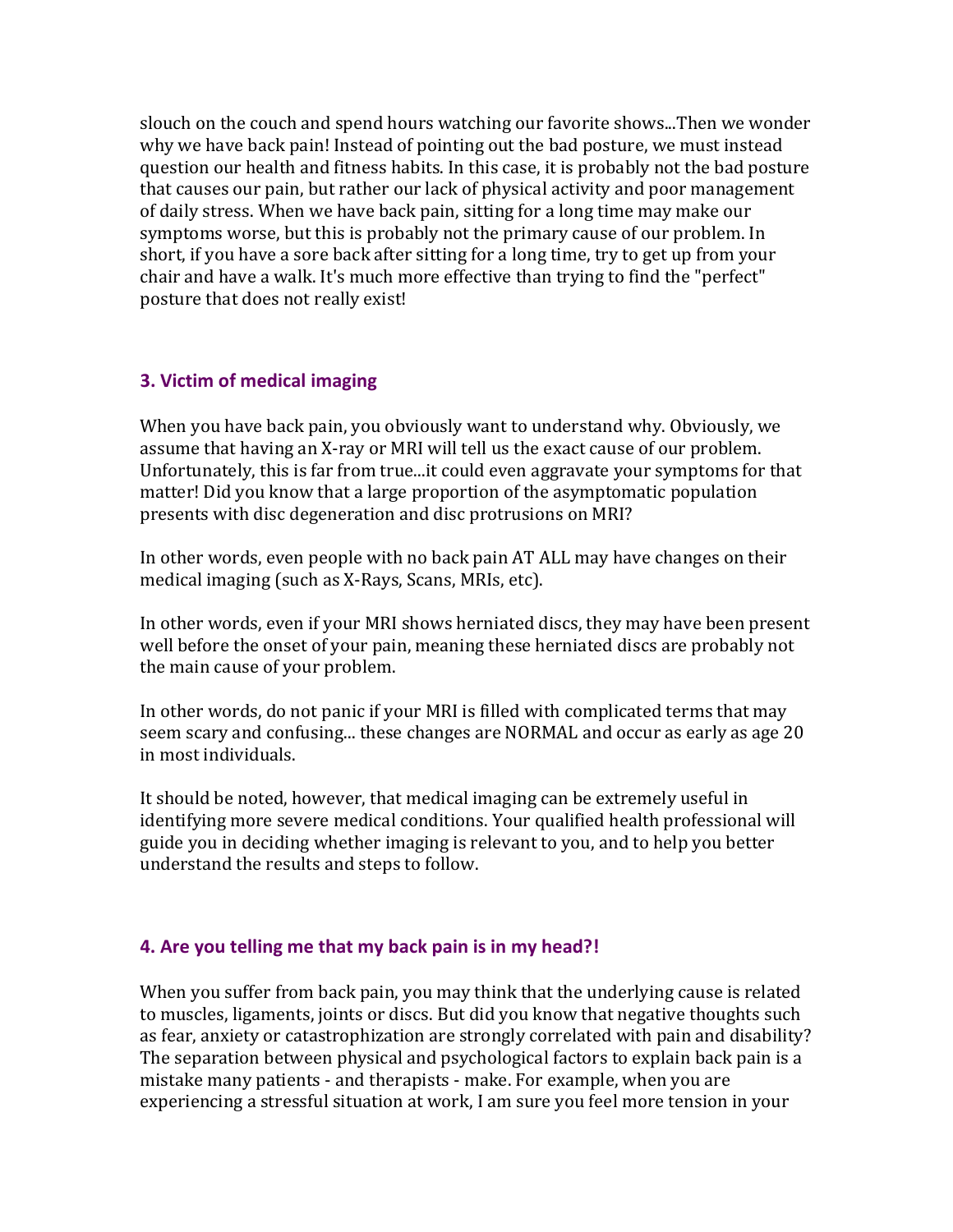slouch on the couch and spend hours watching our favorite shows...Then we wonder why we have back pain! Instead of pointing out the bad posture, we must instead question our health and fitness habits. In this case, it is probably not the bad posture that causes our pain, but rather our lack of physical activity and poor management of daily stress. When we have back pain, sitting for a long time may make our symptoms worse, but this is probably not the primary cause of our problem. In short, if you have a sore back after sitting for a long time, try to get up from your chair and have a walk. It's much more effective than trying to find the "perfect" posture that does not really exist!

#### **3. Victim of medical imaging**

When you have back pain, you obviously want to understand why. Obviously, we assume that having an X-ray or MRI will tell us the exact cause of our problem. Unfortunately, this is far from true...it could even aggravate your symptoms for that matter! Did you know that a large proportion of the asymptomatic population presents with disc degeneration and disc protrusions on MRI?

In other words, even people with no back pain AT ALL may have changes on their medical imaging (such as X-Rays, Scans, MRIs, etc).

In other words, even if your MRI shows herniated discs, they may have been present well before the onset of your pain, meaning these herniated discs are probably not the main cause of your problem.

In other words, do not panic if your MRI is filled with complicated terms that may seem scary and confusing... these changes are NORMAL and occur as early as age 20 in most individuals.

It should be noted, however, that medical imaging can be extremely useful in identifying more severe medical conditions. Your qualified health professional will guide you in deciding whether imaging is relevant to you, and to help you better understand the results and steps to follow.

#### **4. Are you telling me that my back pain is in my head?!**

When you suffer from back pain, you may think that the underlying cause is related to muscles, ligaments, joints or discs. But did you know that negative thoughts such as fear, anxiety or catastrophization are strongly correlated with pain and disability? The separation between physical and psychological factors to explain back pain is a mistake many patients - and therapists - make. For example, when you are experiencing a stressful situation at work, I am sure you feel more tension in your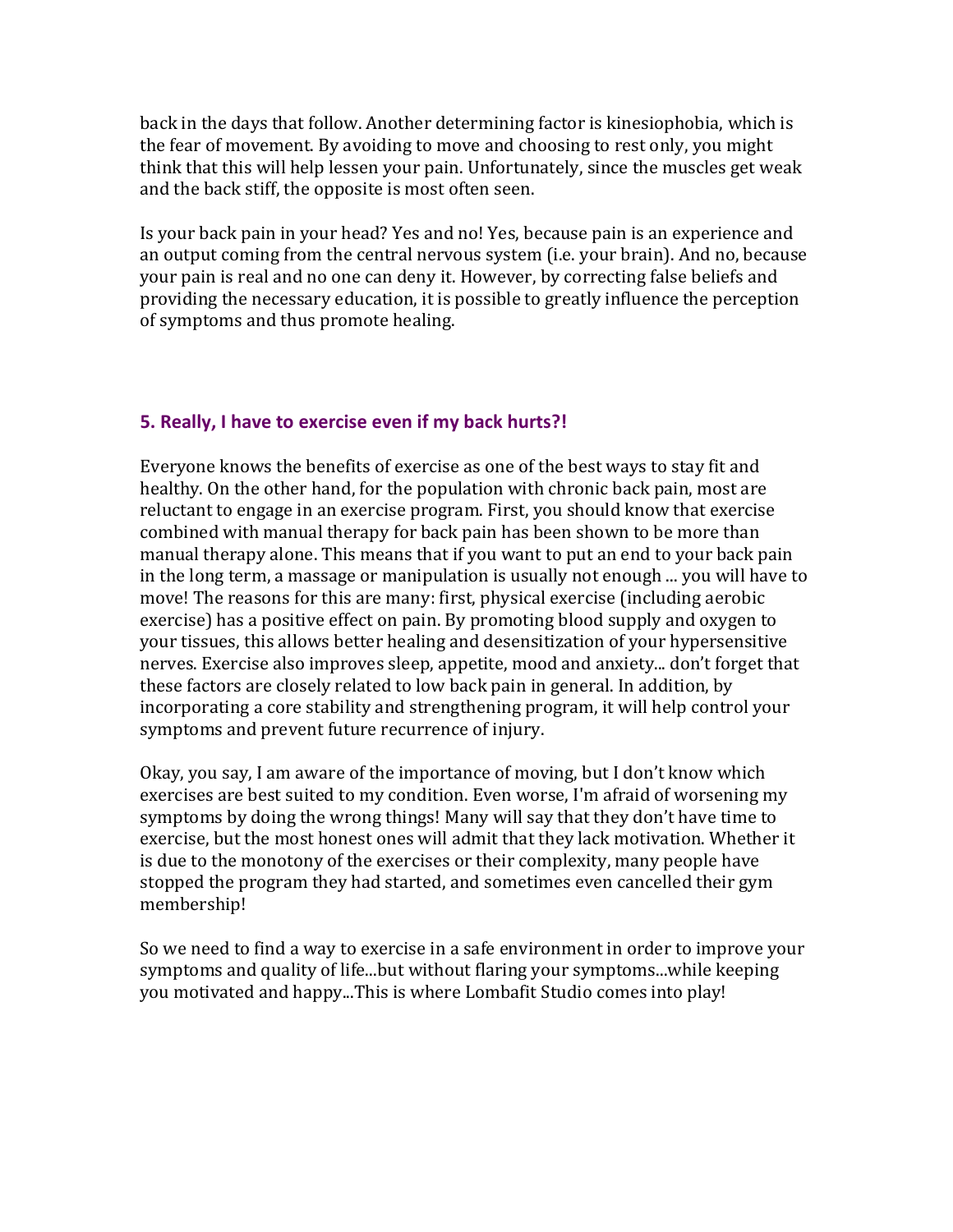back in the days that follow. Another determining factor is kinesiophobia, which is the fear of movement. By avoiding to move and choosing to rest only, you might think that this will help lessen your pain. Unfortunately, since the muscles get weak and the back stiff, the opposite is most often seen.

Is your back pain in your head? Yes and no! Yes, because pain is an experience and an output coming from the central nervous system (i.e. your brain). And no, because your pain is real and no one can deny it. However, by correcting false beliefs and providing the necessary education, it is possible to greatly influence the perception of symptoms and thus promote healing.

#### **5. Really, I have to exercise even if my back hurts?!**

Everyone knows the benefits of exercise as one of the best ways to stay fit and healthy. On the other hand, for the population with chronic back pain, most are reluctant to engage in an exercise program. First, you should know that exercise combined with manual therapy for back pain has been shown to be more than manual therapy alone. This means that if you want to put an end to your back pain in the long term, a massage or manipulation is usually not enough ... you will have to move! The reasons for this are many: first, physical exercise (including aerobic exercise) has a positive effect on pain. By promoting blood supply and oxygen to your tissues, this allows better healing and desensitization of your hypersensitive nerves. Exercise also improves sleep, appetite, mood and anxiety... don't forget that these factors are closely related to low back pain in general. In addition, by incorporating a core stability and strengthening program, it will help control your symptoms and prevent future recurrence of injury.

Okay, you say, I am aware of the importance of moving, but I don't know which exercises are best suited to my condition. Even worse, I'm afraid of worsening my symptoms by doing the wrong things! Many will say that they don't have time to exercise, but the most honest ones will admit that they lack motivation. Whether it is due to the monotony of the exercises or their complexity, many people have stopped the program they had started, and sometimes even cancelled their gym membership!

So we need to find a way to exercise in a safe environment in order to improve your symptoms and quality of life...but without flaring your symptoms...while keeping you motivated and happy...This is where Lombafit Studio comes into play!